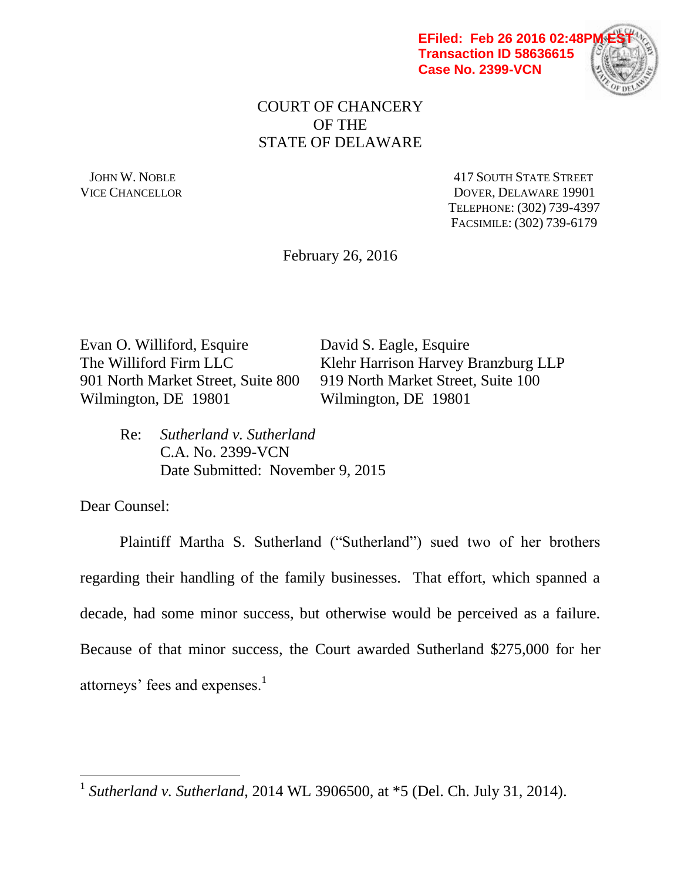

## COURT OF CHANCERY OF THE STATE OF DELAWARE

JOHN W. NOBLE **AND STATE STREET** 417 SOUTH STATE STREET VICE CHANCELLOR DOVER, DELAWARE 19901 TELEPHONE: (302) 739-4397 FACSIMILE: (302) 739-6179

February 26, 2016

Evan O. Williford, Esquire David S. Eagle, Esquire 901 North Market Street, Suite 800 919 North Market Street, Suite 100 Wilmington, DE 19801 Wilmington, DE 19801

The Williford Firm LLC Klehr Harrison Harvey Branzburg LLP

Re: *Sutherland v. Sutherland* C.A. No. 2399-VCN Date Submitted: November 9, 2015

Dear Counsel:

 $\overline{a}$ 

Plaintiff Martha S. Sutherland ("Sutherland") sued two of her brothers regarding their handling of the family businesses. That effort, which spanned a decade, had some minor success, but otherwise would be perceived as a failure. Because of that minor success, the Court awarded Sutherland \$275,000 for her attorneys' fees and expenses. $<sup>1</sup>$ </sup>

<sup>1</sup> *Sutherland v. Sutherland*, 2014 WL 3906500, at \*5 (Del. Ch. July 31, 2014).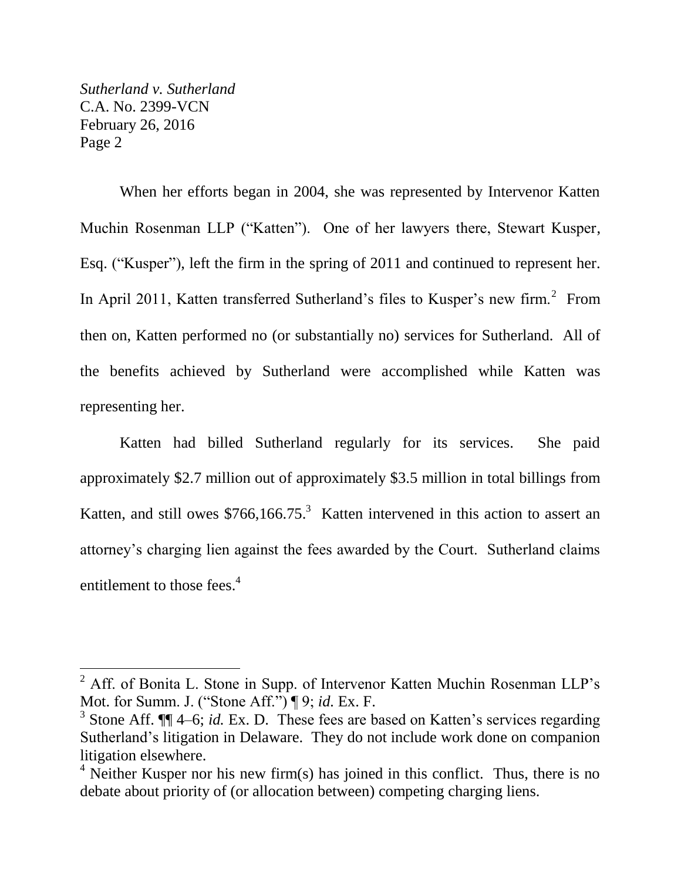$\overline{a}$ 

When her efforts began in 2004, she was represented by Intervenor Katten Muchin Rosenman LLP ("Katten"). One of her lawyers there, Stewart Kusper, Esq. ("Kusper"), left the firm in the spring of 2011 and continued to represent her. In April 2011, Katten transferred Sutherland's files to Kusper's new firm.<sup>2</sup> From then on, Katten performed no (or substantially no) services for Sutherland. All of the benefits achieved by Sutherland were accomplished while Katten was representing her.

Katten had billed Sutherland regularly for its services. She paid approximately \$2.7 million out of approximately \$3.5 million in total billings from Katten, and still owes  $$766,166.75$ <sup>3</sup> Katten intervened in this action to assert an attorney's charging lien against the fees awarded by the Court. Sutherland claims entitlement to those fees.<sup>4</sup>

 $<sup>2</sup>$  Aff. of Bonita L. Stone in Supp. of Intervenor Katten Muchin Rosenman LLP's</sup> Mot. for Summ. J. ("Stone Aff.") ¶ 9; *id.* Ex. F.

<sup>&</sup>lt;sup>3</sup> Stone Aff.  $\P\P$  4–6; *id.* Ex. D. These fees are based on Katten's services regarding Sutherland's litigation in Delaware. They do not include work done on companion litigation elsewhere.

 $4$  Neither Kusper nor his new firm(s) has joined in this conflict. Thus, there is no debate about priority of (or allocation between) competing charging liens.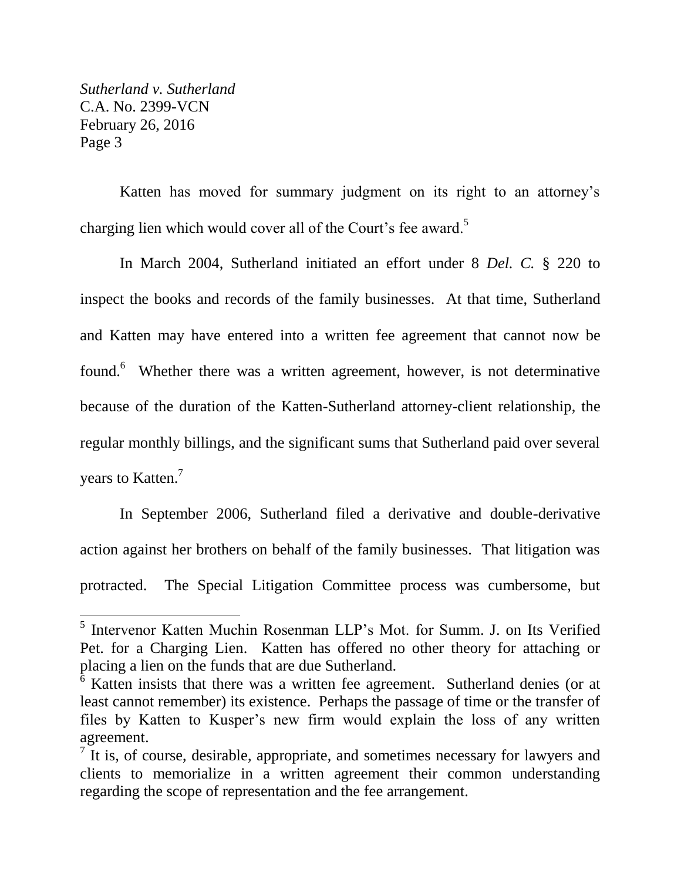$\overline{a}$ 

Katten has moved for summary judgment on its right to an attorney's charging lien which would cover all of the Court's fee award.<sup>5</sup>

In March 2004, Sutherland initiated an effort under 8 *Del. C.* § 220 to inspect the books and records of the family businesses. At that time, Sutherland and Katten may have entered into a written fee agreement that cannot now be found.<sup>6</sup> Whether there was a written agreement, however, is not determinative because of the duration of the Katten-Sutherland attorney-client relationship, the regular monthly billings, and the significant sums that Sutherland paid over several years to Katten.<sup>7</sup>

In September 2006, Sutherland filed a derivative and double-derivative action against her brothers on behalf of the family businesses. That litigation was protracted. The Special Litigation Committee process was cumbersome, but

<sup>5</sup> Intervenor Katten Muchin Rosenman LLP's Mot. for Summ. J. on Its Verified Pet. for a Charging Lien. Katten has offered no other theory for attaching or placing a lien on the funds that are due Sutherland.

 $\overline{6}$  Katten insists that there was a written fee agreement. Sutherland denies (or at least cannot remember) its existence. Perhaps the passage of time or the transfer of files by Katten to Kusper's new firm would explain the loss of any written agreement.

 $\overline{7}$  It is, of course, desirable, appropriate, and sometimes necessary for lawyers and clients to memorialize in a written agreement their common understanding regarding the scope of representation and the fee arrangement.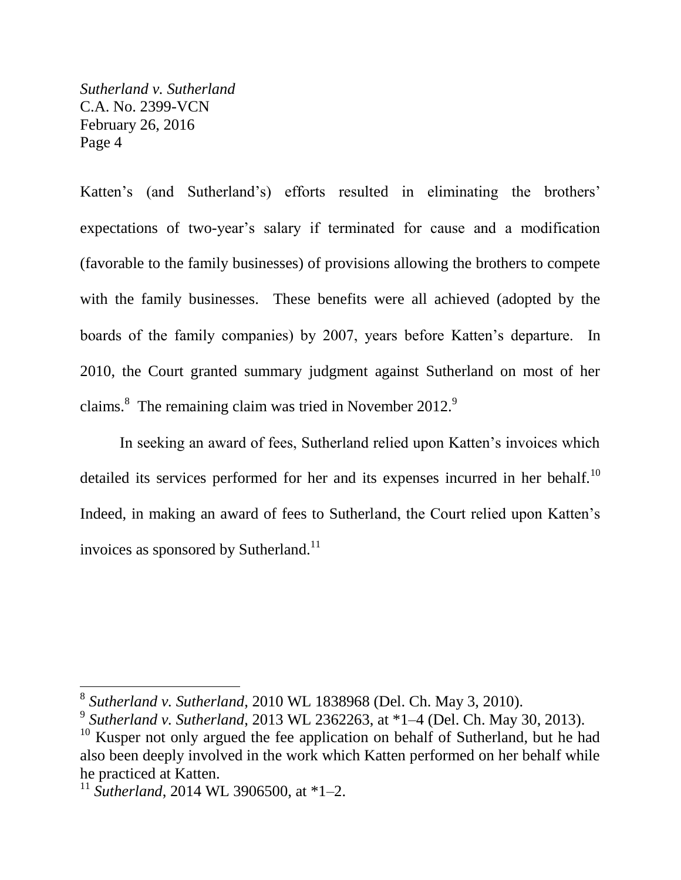Katten's (and Sutherland's) efforts resulted in eliminating the brothers' expectations of two-year's salary if terminated for cause and a modification (favorable to the family businesses) of provisions allowing the brothers to compete with the family businesses. These benefits were all achieved (adopted by the boards of the family companies) by 2007, years before Katten's departure. In 2010, the Court granted summary judgment against Sutherland on most of her claims. $8$  The remaining claim was tried in November 2012.<sup>9</sup>

In seeking an award of fees, Sutherland relied upon Katten's invoices which detailed its services performed for her and its expenses incurred in her behalf.<sup>10</sup> Indeed, in making an award of fees to Sutherland, the Court relied upon Katten's invoices as sponsored by Sutherland.<sup>11</sup>

 $\overline{a}$ 

<sup>8</sup> *Sutherland v. Sutherland*, 2010 WL 1838968 (Del. Ch. May 3, 2010).

<sup>9</sup> *Sutherland v. Sutherland*, 2013 WL 2362263, at \*1–4 (Del. Ch. May 30, 2013).

<sup>&</sup>lt;sup>10</sup> Kusper not only argued the fee application on behalf of Sutherland, but he had also been deeply involved in the work which Katten performed on her behalf while he practiced at Katten.

<sup>11</sup> *Sutherland*, 2014 WL 3906500, at \*1–2.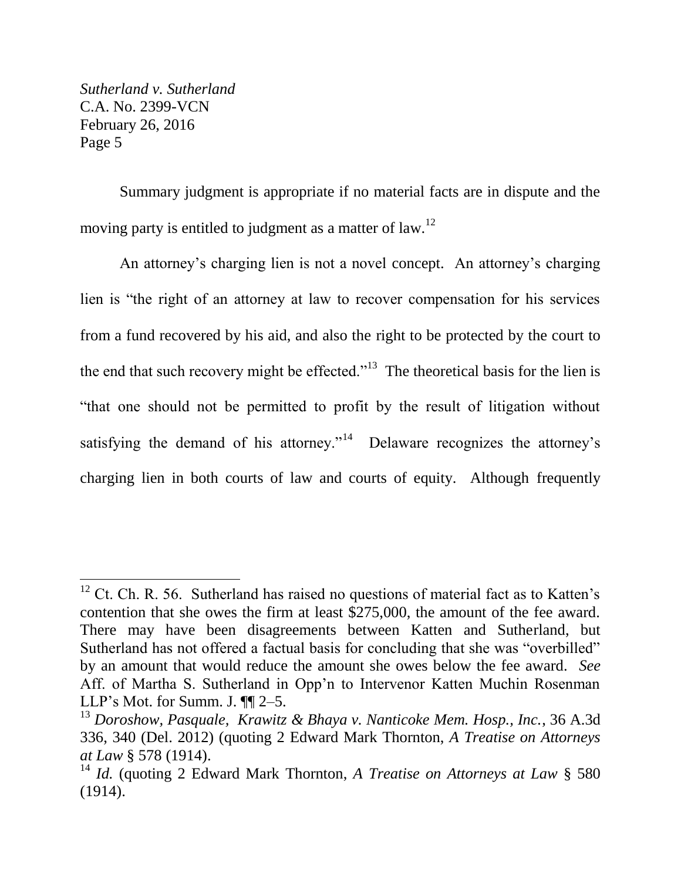$\overline{a}$ 

Summary judgment is appropriate if no material facts are in dispute and the moving party is entitled to judgment as a matter of law.<sup>12</sup>

An attorney's charging lien is not a novel concept. An attorney's charging lien is "the right of an attorney at law to recover compensation for his services from a fund recovered by his aid, and also the right to be protected by the court to the end that such recovery might be effected."<sup>13</sup> The theoretical basis for the lien is "that one should not be permitted to profit by the result of litigation without satisfying the demand of his attorney."<sup>14</sup> Delaware recognizes the attorney's charging lien in both courts of law and courts of equity. Although frequently

 $12$  Ct. Ch. R. 56. Sutherland has raised no questions of material fact as to Katten's contention that she owes the firm at least \$275,000, the amount of the fee award. There may have been disagreements between Katten and Sutherland, but Sutherland has not offered a factual basis for concluding that she was "overbilled" by an amount that would reduce the amount she owes below the fee award. *See* Aff. of Martha S. Sutherland in Opp'n to Intervenor Katten Muchin Rosenman LLP's Mot. for Summ. J. ¶¶ 2-5.

<sup>13</sup> *Doroshow, Pasquale, Krawitz & Bhaya v. Nanticoke Mem. Hosp., Inc.*, 36 A.3d 336, 340 (Del. 2012) (quoting 2 Edward Mark Thornton, *A Treatise on Attorneys at Law* § 578 (1914).

<sup>14</sup> *Id.* (quoting 2 Edward Mark Thornton, *A Treatise on Attorneys at Law* § 580 (1914).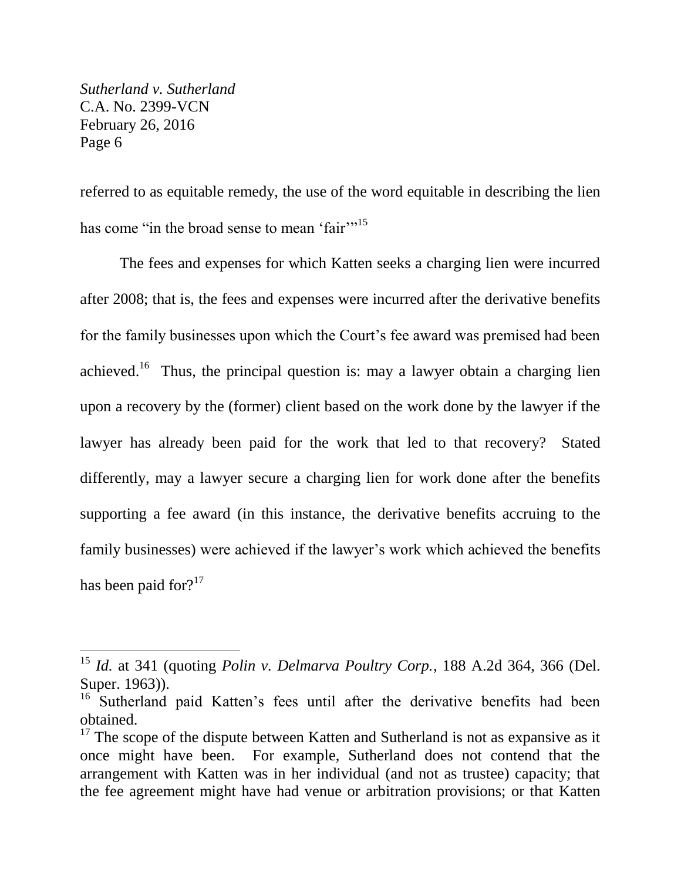$\overline{a}$ 

referred to as equitable remedy, the use of the word equitable in describing the lien has come "in the broad sense to mean 'fair"<sup>15</sup>

The fees and expenses for which Katten seeks a charging lien were incurred after 2008; that is, the fees and expenses were incurred after the derivative benefits for the family businesses upon which the Court's fee award was premised had been achieved.<sup>16</sup> Thus, the principal question is: may a lawyer obtain a charging lien upon a recovery by the (former) client based on the work done by the lawyer if the lawyer has already been paid for the work that led to that recovery? Stated differently, may a lawyer secure a charging lien for work done after the benefits supporting a fee award (in this instance, the derivative benefits accruing to the family businesses) were achieved if the lawyer's work which achieved the benefits has been paid for? $17$ 

<sup>15</sup> *Id.* at 341 (quoting *Polin v. Delmarva Poultry Corp.*, 188 A.2d 364, 366 (Del. Super. 1963)).

<sup>&</sup>lt;sup>16</sup> Sutherland paid Katten's fees until after the derivative benefits had been obtained.

 $17$  The scope of the dispute between Katten and Sutherland is not as expansive as it once might have been. For example, Sutherland does not contend that the arrangement with Katten was in her individual (and not as trustee) capacity; that the fee agreement might have had venue or arbitration provisions; or that Katten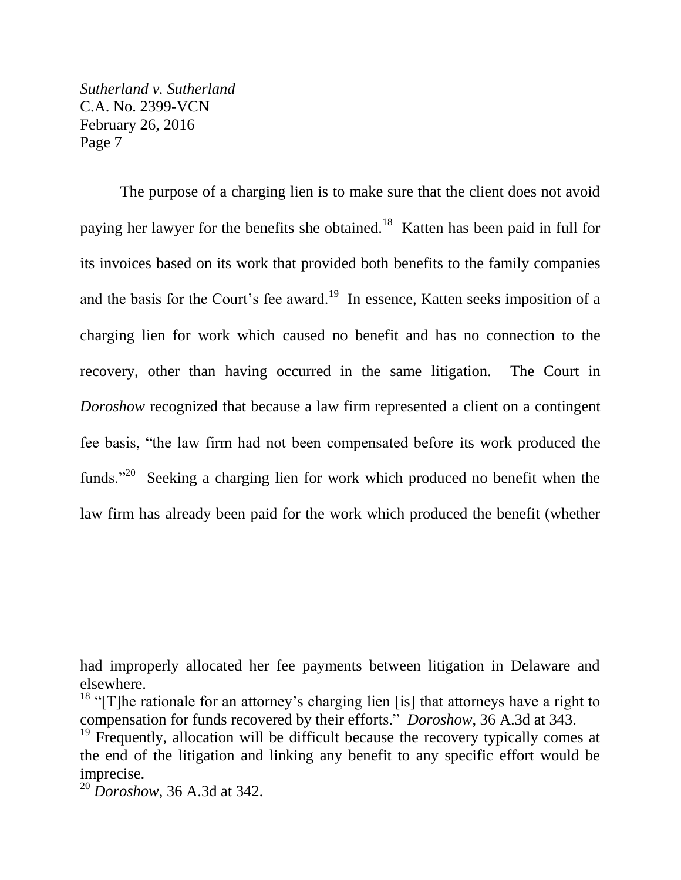The purpose of a charging lien is to make sure that the client does not avoid paying her lawyer for the benefits she obtained.<sup>18</sup> Katten has been paid in full for its invoices based on its work that provided both benefits to the family companies and the basis for the Court's fee award.<sup>19</sup> In essence, Katten seeks imposition of a charging lien for work which caused no benefit and has no connection to the recovery, other than having occurred in the same litigation. The Court in *Doroshow* recognized that because a law firm represented a client on a contingent fee basis, "the law firm had not been compensated before its work produced the funds."<sup>20</sup> Seeking a charging lien for work which produced no benefit when the law firm has already been paid for the work which produced the benefit (whether

 $\overline{a}$ 

had improperly allocated her fee payments between litigation in Delaware and elsewhere.

<sup>&</sup>lt;sup>18</sup> "[T]he rationale for an attorney's charging lien [is] that attorneys have a right to compensation for funds recovered by their efforts." *Doroshow*, 36 A.3d at 343.

 $19$  Frequently, allocation will be difficult because the recovery typically comes at the end of the litigation and linking any benefit to any specific effort would be imprecise.

<sup>20</sup> *Doroshow*, 36 A.3d at 342.